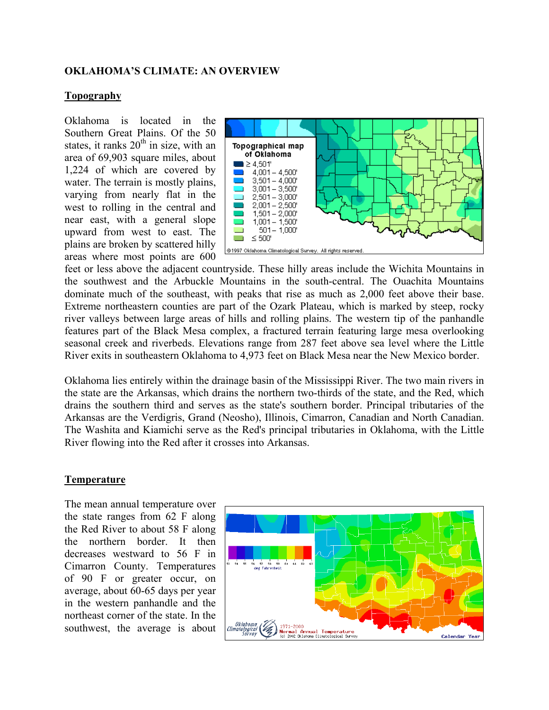### **OKLAHOMA'S CLIMATE: AN OVERVIEW**

#### **Topography**

Oklahoma is located in the Southern Great Plains. Of the 50 states, it ranks  $20<sup>th</sup>$  in size, with an area of 69,903 square miles, about 1,224 of which are covered by water. The terrain is mostly plains, varying from nearly flat in the west to rolling in the central and near east, with a general slope upward from west to east. The plains are broken by scattered hilly areas where most points are 600



feet or less above the adjacent countryside. These hilly areas include the Wichita Mountains in the southwest and the Arbuckle Mountains in the south-central. The Ouachita Mountains dominate much of the southeast, with peaks that rise as much as 2,000 feet above their base. Extreme northeastern counties are part of the Ozark Plateau, which is marked by steep, rocky river valleys between large areas of hills and rolling plains. The western tip of the panhandle features part of the Black Mesa complex, a fractured terrain featuring large mesa overlooking seasonal creek and riverbeds. Elevations range from 287 feet above sea level where the Little River exits in southeastern Oklahoma to 4,973 feet on Black Mesa near the New Mexico border.

Oklahoma lies entirely within the drainage basin of the Mississippi River. The two main rivers in the state are the Arkansas, which drains the northern two-thirds of the state, and the Red, which drains the southern third and serves as the state's southern border. Principal tributaries of the Arkansas are the Verdigris, Grand (Neosho), Illinois, Cimarron, Canadian and North Canadian. The Washita and Kiamichi serve as the Red's principal tributaries in Oklahoma, with the Little River flowing into the Red after it crosses into Arkansas.

### **Temperature**

The mean annual temperature over the state ranges from 62 F along the Red River to about 58 F along the northern border. It then decreases westward to 56 F in Cimarron County. Temperatures of 90 F or greater occur, on average, about 60-65 days per year in the western panhandle and the northeast corner of the state. In the southwest, the average is about

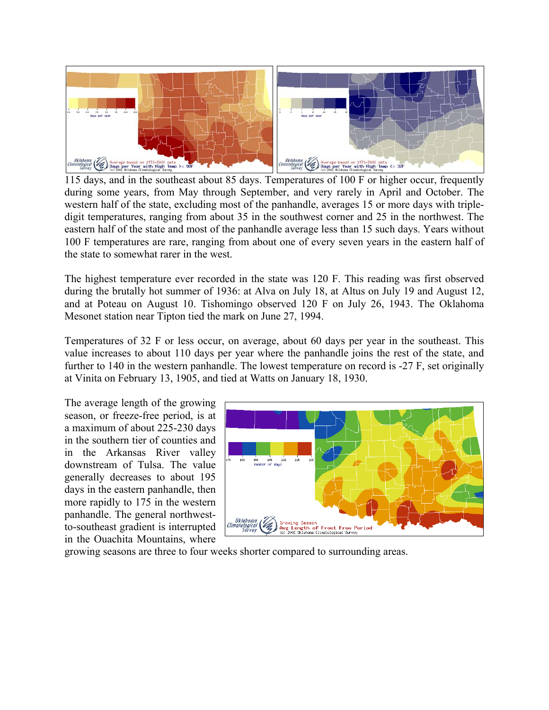

115 days, and in the southeast about 85 days. Temperatures of 100 F or higher occur, frequently during some years, from May through September, and very rarely in April and October. The western half of the state, excluding most of the panhandle, averages 15 or more days with tripledigit temperatures, ranging from about 35 in the southwest corner and 25 in the northwest. The eastern half of the state and most of the panhandle average less than 15 such days. Years without 100 F temperatures are rare, ranging from about one of every seven years in the eastern half of the state to somewhat rarer in the west.

The highest temperature ever recorded in the state was 120 F. This reading was first observed during the brutally hot summer of 1936: at Alva on July 18, at Altus on July 19 and August 12, and at Poteau on August 10. Tishomingo observed 120 F on July 26, 1943. The Oklahoma Mesonet station near Tipton tied the mark on June 27, 1994.

Temperatures of 32 F or less occur, on average, about 60 days per year in the southeast. This value increases to about 110 days per year where the panhandle joins the rest of the state, and further to 140 in the western panhandle. The lowest temperature on record is -27 F, set originally at Vinita on February 13, 1905, and tied at Watts on January 18, 1930.

The average length of the growing season, or freeze-free period, is at a maximum of about 225-230 days in the southern tier of counties and in the Arkansas River valley downstream of Tulsa. The value generally decreases to about 195 days in the eastern panhandle, then more rapidly to 175 in the western panhandle. The general northwestto-southeast gradient is interrupted in the Ouachita Mountains, where



growing seasons are three to four weeks shorter compared to surrounding areas.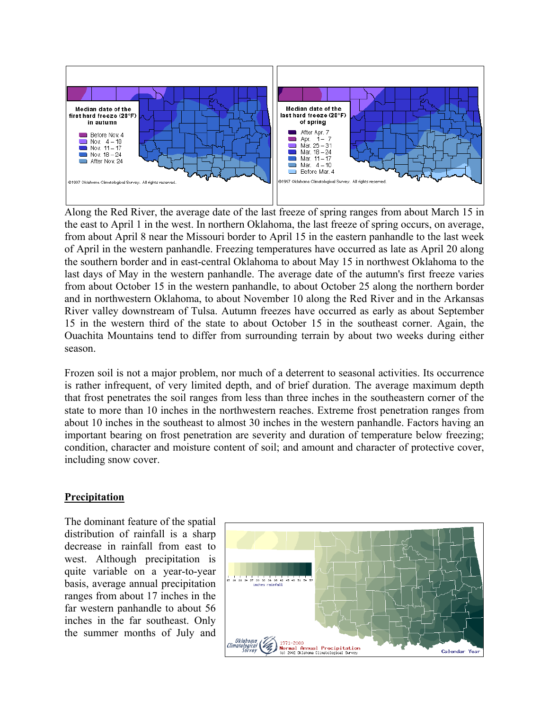

Along the Red River, the average date of the last freeze of spring ranges from about March 15 in the east to April 1 in the west. In northern Oklahoma, the last freeze of spring occurs, on average, from about April 8 near the Missouri border to April 15 in the eastern panhandle to the last week of April in the western panhandle. Freezing temperatures have occurred as late as April 20 along the southern border and in east-central Oklahoma to about May 15 in northwest Oklahoma to the last days of May in the western panhandle. The average date of the autumn's first freeze varies from about October 15 in the western panhandle, to about October 25 along the northern border and in northwestern Oklahoma, to about November 10 along the Red River and in the Arkansas River valley downstream of Tulsa. Autumn freezes have occurred as early as about September 15 in the western third of the state to about October 15 in the southeast corner. Again, the Ouachita Mountains tend to differ from surrounding terrain by about two weeks during either season.

Frozen soil is not a major problem, nor much of a deterrent to seasonal activities. Its occurrence is rather infrequent, of very limited depth, and of brief duration. The average maximum depth that frost penetrates the soil ranges from less than three inches in the southeastern corner of the state to more than 10 inches in the northwestern reaches. Extreme frost penetration ranges from about 10 inches in the southeast to almost 30 inches in the western panhandle. Factors having an important bearing on frost penetration are severity and duration of temperature below freezing; condition, character and moisture content of soil; and amount and character of protective cover, including snow cover.

## **Precipitation**

The dominant feature of the spatial distribution of rainfall is a sharp decrease in rainfall from east to west. Although precipitation is quite variable on a year-to-year basis, average annual precipitation ranges from about 17 inches in the far western panhandle to about 56 inches in the far southeast. Only the summer months of July and

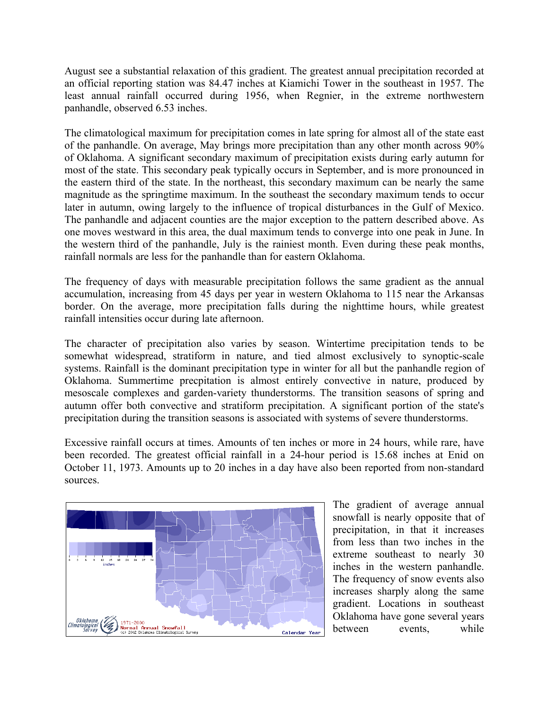August see a substantial relaxation of this gradient. The greatest annual precipitation recorded at an official reporting station was 84.47 inches at Kiamichi Tower in the southeast in 1957. The least annual rainfall occurred during 1956, when Regnier, in the extreme northwestern panhandle, observed 6.53 inches.

The climatological maximum for precipitation comes in late spring for almost all of the state east of the panhandle. On average, May brings more precipitation than any other month across 90% of Oklahoma. A significant secondary maximum of precipitation exists during early autumn for most of the state. This secondary peak typically occurs in September, and is more pronounced in the eastern third of the state. In the northeast, this secondary maximum can be nearly the same magnitude as the springtime maximum. In the southeast the secondary maximum tends to occur later in autumn, owing largely to the influence of tropical disturbances in the Gulf of Mexico. The panhandle and adjacent counties are the major exception to the pattern described above. As one moves westward in this area, the dual maximum tends to converge into one peak in June. In the western third of the panhandle, July is the rainiest month. Even during these peak months, rainfall normals are less for the panhandle than for eastern Oklahoma.

The frequency of days with measurable precipitation follows the same gradient as the annual accumulation, increasing from 45 days per year in western Oklahoma to 115 near the Arkansas border. On the average, more precipitation falls during the nighttime hours, while greatest rainfall intensities occur during late afternoon.

The character of precipitation also varies by season. Wintertime precipitation tends to be somewhat widespread, stratiform in nature, and tied almost exclusively to synoptic-scale systems. Rainfall is the dominant precipitation type in winter for all but the panhandle region of Oklahoma. Summertime precpitation is almost entirely convective in nature, produced by mesoscale complexes and garden-variety thunderstorms. The transition seasons of spring and autumn offer both convective and stratiform precipitation. A significant portion of the state's precipitation during the transition seasons is associated with systems of severe thunderstorms.

Excessive rainfall occurs at times. Amounts of ten inches or more in 24 hours, while rare, have been recorded. The greatest official rainfall in a 24-hour period is 15.68 inches at Enid on October 11, 1973. Amounts up to 20 inches in a day have also been reported from non-standard sources.



The gradient of average annual snowfall is nearly opposite that of precipitation, in that it increases from less than two inches in the extreme southeast to nearly 30 inches in the western panhandle. The frequency of snow events also increases sharply along the same gradient. Locations in southeast Oklahoma have gone several years between events, while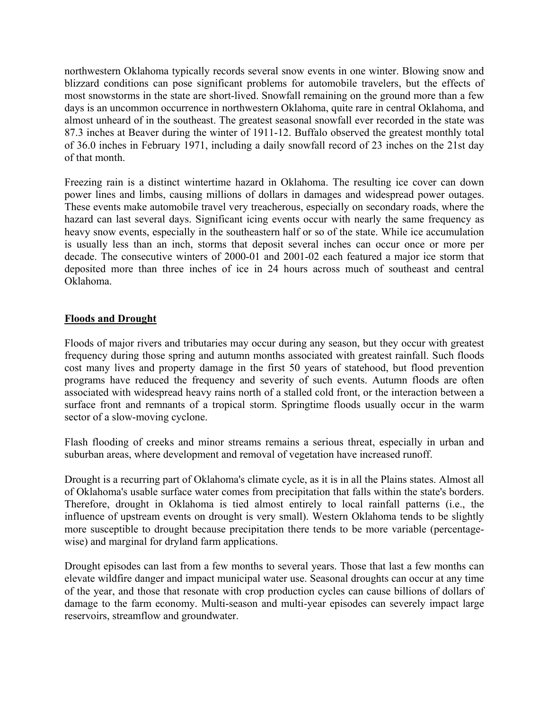northwestern Oklahoma typically records several snow events in one winter. Blowing snow and blizzard conditions can pose significant problems for automobile travelers, but the effects of most snowstorms in the state are short-lived. Snowfall remaining on the ground more than a few days is an uncommon occurrence in northwestern Oklahoma, quite rare in central Oklahoma, and almost unheard of in the southeast. The greatest seasonal snowfall ever recorded in the state was 87.3 inches at Beaver during the winter of 1911-12. Buffalo observed the greatest monthly total of 36.0 inches in February 1971, including a daily snowfall record of 23 inches on the 21st day of that month.

Freezing rain is a distinct wintertime hazard in Oklahoma. The resulting ice cover can down power lines and limbs, causing millions of dollars in damages and widespread power outages. These events make automobile travel very treacherous, especially on secondary roads, where the hazard can last several days. Significant icing events occur with nearly the same frequency as heavy snow events, especially in the southeastern half or so of the state. While ice accumulation is usually less than an inch, storms that deposit several inches can occur once or more per decade. The consecutive winters of 2000-01 and 2001-02 each featured a major ice storm that deposited more than three inches of ice in 24 hours across much of southeast and central Oklahoma.

# **Floods and Drought**

Floods of major rivers and tributaries may occur during any season, but they occur with greatest frequency during those spring and autumn months associated with greatest rainfall. Such floods cost many lives and property damage in the first 50 years of statehood, but flood prevention programs have reduced the frequency and severity of such events. Autumn floods are often associated with widespread heavy rains north of a stalled cold front, or the interaction between a surface front and remnants of a tropical storm. Springtime floods usually occur in the warm sector of a slow-moving cyclone.

Flash flooding of creeks and minor streams remains a serious threat, especially in urban and suburban areas, where development and removal of vegetation have increased runoff.

Drought is a recurring part of Oklahoma's climate cycle, as it is in all the Plains states. Almost all of Oklahoma's usable surface water comes from precipitation that falls within the state's borders. Therefore, drought in Oklahoma is tied almost entirely to local rainfall patterns (i.e., the influence of upstream events on drought is very small). Western Oklahoma tends to be slightly more susceptible to drought because precipitation there tends to be more variable (percentagewise) and marginal for dryland farm applications.

Drought episodes can last from a few months to several years. Those that last a few months can elevate wildfire danger and impact municipal water use. Seasonal droughts can occur at any time of the year, and those that resonate with crop production cycles can cause billions of dollars of damage to the farm economy. Multi-season and multi-year episodes can severely impact large reservoirs, streamflow and groundwater.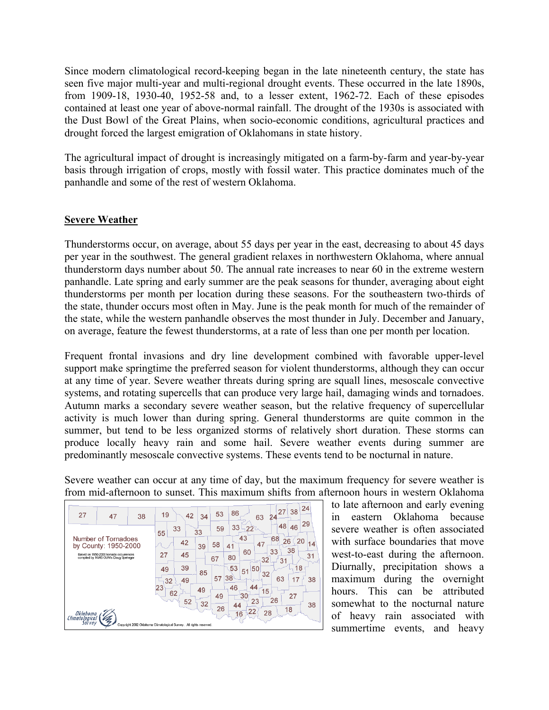Since modern climatological record-keeping began in the late nineteenth century, the state has seen five major multi-year and multi-regional drought events. These occurred in the late 1890s, from 1909-18, 1930-40, 1952-58 and, to a lesser extent, 1962-72. Each of these episodes contained at least one year of above-normal rainfall. The drought of the 1930s is associated with the Dust Bowl of the Great Plains, when socio-economic conditions, agricultural practices and drought forced the largest emigration of Oklahomans in state history.

The agricultural impact of drought is increasingly mitigated on a farm-by-farm and year-by-year basis through irrigation of crops, mostly with fossil water. This practice dominates much of the panhandle and some of the rest of western Oklahoma.

### **Severe Weather**

Thunderstorms occur, on average, about 55 days per year in the east, decreasing to about 45 days per year in the southwest. The general gradient relaxes in northwestern Oklahoma, where annual thunderstorm days number about 50. The annual rate increases to near 60 in the extreme western panhandle. Late spring and early summer are the peak seasons for thunder, averaging about eight thunderstorms per month per location during these seasons. For the southeastern two-thirds of the state, thunder occurs most often in May. June is the peak month for much of the remainder of the state, while the western panhandle observes the most thunder in July. December and January, on average, feature the fewest thunderstorms, at a rate of less than one per month per location.

Frequent frontal invasions and dry line development combined with favorable upper-level support make springtime the preferred season for violent thunderstorms, although they can occur at any time of year. Severe weather threats during spring are squall lines, mesoscale convective systems, and rotating supercells that can produce very large hail, damaging winds and tornadoes. Autumn marks a secondary severe weather season, but the relative frequency of supercellular activity is much lower than during spring. General thunderstorms are quite common in the summer, but tend to be less organized storms of relatively short duration. These storms can produce locally heavy rain and some hail. Severe weather events during summer are predominantly mesoscale convective systems. These events tend to be nocturnal in nature.

Severe weather can occur at any time of day, but the maximum frequency for severe weather is from mid-afternoon to sunset. This maximum shifts from afternoon hours in western Oklahoma



to late afternoon and early evening in eastern Oklahoma because severe weather is often associated with surface boundaries that move west-to-east during the afternoon. Diurnally, precipitation shows a maximum during the overnight hours. This can be attributed somewhat to the nocturnal nature of heavy rain associated with summertime events, and heavy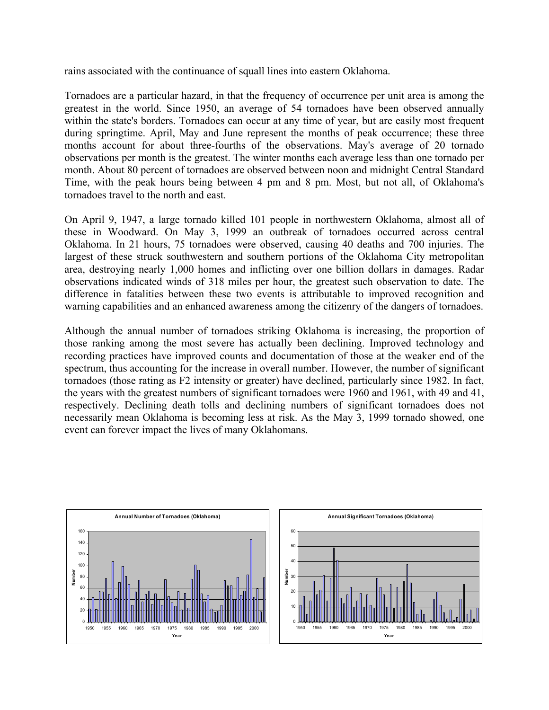rains associated with the continuance of squall lines into eastern Oklahoma.

Tornadoes are a particular hazard, in that the frequency of occurrence per unit area is among the greatest in the world. Since 1950, an average of 54 tornadoes have been observed annually within the state's borders. Tornadoes can occur at any time of year, but are easily most frequent during springtime. April, May and June represent the months of peak occurrence; these three months account for about three-fourths of the observations. May's average of 20 tornado observations per month is the greatest. The winter months each average less than one tornado per month. About 80 percent of tornadoes are observed between noon and midnight Central Standard Time, with the peak hours being between 4 pm and 8 pm. Most, but not all, of Oklahoma's tornadoes travel to the north and east.

On April 9, 1947, a large tornado killed 101 people in northwestern Oklahoma, almost all of these in Woodward. On May 3, 1999 an outbreak of tornadoes occurred across central Oklahoma. In 21 hours, 75 tornadoes were observed, causing 40 deaths and 700 injuries. The largest of these struck southwestern and southern portions of the Oklahoma City metropolitan area, destroying nearly 1,000 homes and inflicting over one billion dollars in damages. Radar observations indicated winds of 318 miles per hour, the greatest such observation to date. The difference in fatalities between these two events is attributable to improved recognition and warning capabilities and an enhanced awareness among the citizenry of the dangers of tornadoes.

Although the annual number of tornadoes striking Oklahoma is increasing, the proportion of those ranking among the most severe has actually been declining. Improved technology and recording practices have improved counts and documentation of those at the weaker end of the spectrum, thus accounting for the increase in overall number. However, the number of significant tornadoes (those rating as F2 intensity or greater) have declined, particularly since 1982. In fact, the years with the greatest numbers of significant tornadoes were 1960 and 1961, with 49 and 41, respectively. Declining death tolls and declining numbers of significant tornadoes does not necessarily mean Oklahoma is becoming less at risk. As the May 3, 1999 tornado showed, one event can forever impact the lives of many Oklahomans.